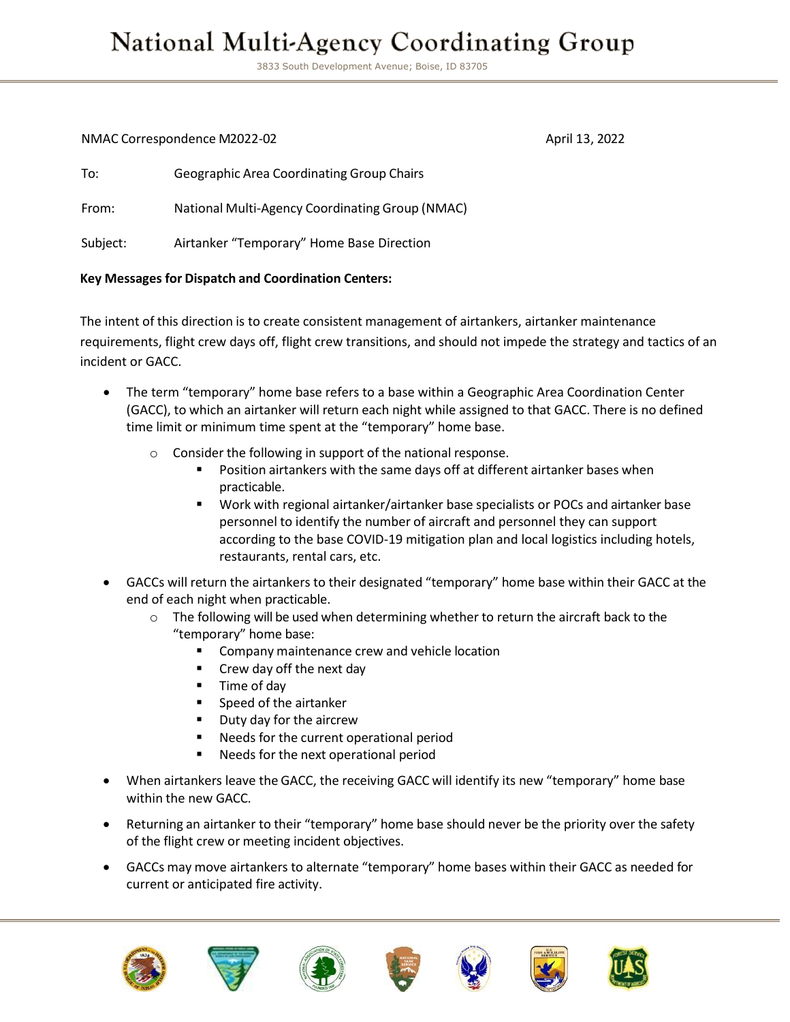## **National Multi-Agency Coordinating Group**

3833 South Development Avenue; Boise, ID 83705

NMAC Correspondence M2022-02 April 13, 2022

| To:      | <b>Geographic Area Coordinating Group Chairs</b> |
|----------|--------------------------------------------------|
| From:    | National Multi-Agency Coordinating Group (NMAC)  |
| Subject: | Airtanker "Temporary" Home Base Direction        |

## **Key Messages for Dispatch and Coordination Centers:**

The intent of this direction is to create consistent management of airtankers, airtanker maintenance requirements, flight crew days off, flight crew transitions, and should not impede the strategy and tactics of an incident or GACC.

- The term "temporary" home base refers to a base within a Geographic Area Coordination Center (GACC), to which an airtanker will return each night while assigned to that GACC. There is no defined time limit or minimum time spent at the "temporary" home base.
	- o Consider the following in support of the national response.
		- Position airtankers with the same days off at different airtanker bases when practicable.
		- Work with regional airtanker/airtanker base specialists or POCs and airtanker base personnel to identify the number of aircraft and personnel they can support according to the base COVID-19 mitigation plan and local logistics including hotels, restaurants, rental cars, etc.
- GACCs will return the airtankers to their designated "temporary" home base within their GACC at the end of each night when practicable.
	- $\circ$  The following will be used when determining whether to return the aircraft back to the "temporary" home base:
		- Company maintenance crew and vehicle location
		- Crew day off the next day
		- Time of day
		- Speed of the airtanker
		- Duty day for the aircrew
		- Needs for the current operational period
		- Needs for the next operational period
- When airtankers leave the GACC, the receiving GACC will identify its new "temporary" home base within the new GACC.
- Returning an airtanker to their "temporary" home base should never be the priority over the safety of the flight crew or meeting incident objectives.
- GACCs may move airtankers to alternate "temporary" home bases within their GACC as needed for current or anticipated fire activity.